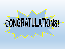# CONGRATULATIONS!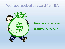## You have received an award from ISA



# **How do you get your money???????????**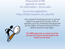Show proof of IRB approval or waiver For information: irb.unc.edu

For on-line application: https://irbis2.research.unc.edu/irb/

> Any research involving human or animal subjects proposed by faculty, staff, or students must be reviewed and approved by the Office of Human Research Ethics before research may begin.



The IBRB approval or waiver must be turned into Joanna Shuett before the award can be paid.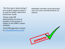The first step in determining if your project requires review is to read the OHRE's IRB Online Submission Guide.

Please make IRB determination as early as possible as the process is subject to the OHRE's review schedule.

Email IRB approval or waiver to: [joshuett@email.unc.edu](mailto:joshuett@email.unc.edu)

REMEMBER: NOTHING CAN BE PROCESSED UNTIL YOU HAVE YOUR IRB APPROVAL OR WAIVER!

APPROVED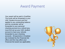## Award Payment

Your award will be paid in GradStar. The funds will be forwarded to your UNC Student Account and first applied to any outstanding balance and the remainder will be forwarded to your personal checking account as a refund (you must first set up your UNC student account to have your refunds forwarded to your checking account). All payments in Gradstar are reviewed by the Financial Aid office and this may affect your Financial Aid award (as applicable).

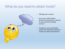## What do you need to obtain funds?



- IRB approval or waiver
- Set up your UNC Student Account to forward your refunds to your personal checking account.
- If stated on your award letter, attend the meeting scheduled to review any other requirements.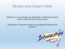## Review your Award Letter

Whether you are receiving a Pre-dissertation or Dissertation award, please review the terms of your award.

#### Remember to credit the Institute in any publication based on the research!

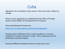**Cuba** 

Regulations for travelling to Cuba require a few extra steps. Subject to change.

Check current regulations as established by the Office of Foreign Assets Control (OFAC) of the Department of Treasury.

Check Cuba Research Protocol at:

<http://isa.unc.edu/programs-activities/cuba-program/>

Provide proof of affiliation from a Cuban academic or research institution to conduct research in Cuba. This is necessary even for preliminary research projects.

Know the difference between license to travel and a visa!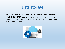

Periodically *during* your stay abroad and *before* travelling home, **BACK UP** data from computer, phone, camera or other electronic devices. If your device is damaged, stolen or confiscated you will not lose the information!

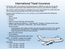### International Travel Insurance

- All faculty, staff, and students traveling abroad in affiliation with the University are required to purchase international travel insurance, provided by GeoBlue.
- You need to wait and request coverage once your travel dates are confirmed and formal approval granted by email from the Provost Office
- Contact Janet Hoernke (Janet Hoernke@unc.edu) and provide the following information:
	- Name
	- Date of birth
	- Gender
	- Dates of travel (starting and end date)
	- Address (preferred address is "international" location, if known at the time of the roster submission. Otherwise, your home address)
	- Home country
		- If traveling to your home country, you do not need insurance if you would otherwise be covered there. If traveling to additional country you will need insurance for time in that country.
	- Host city and country
	- Email address
	- Arrange payment directly with Janet.
- RATE \$1.50/DAY (subject to change)
	- Rates may be increasing in June.
- examples:
	- $\cdot$  1.50  $*$  14 days = \$21.00
	- $\cdot$  1.50  $*$  30 days = \$45.00
	- $\cdot$  1.50  $*$  65 days = \$97.50

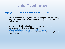## **Global Travel Registry**

<https://global.unc.edu/travel-operations/travel-policies/>

- All UNC students, faculty, and staff traveling on UNC programs, projects, or business are **required** to seek approval via the RASR system.
- Review the UNC Travel policy to countries with current warnings and restrictions. Please visit [https://global.unc.edu/travel-operations/travel](https://global.unc.edu/travel-operations/travel-policies/updated-consideration/)policies/updated-consideration/. You may need to complete a release form.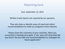## Reporting back

Due: September 15, 2021

Written travel reports are *required* by our sponsors.

They also help us identify areas of need and collect recommendations to make our programs more relevant.

Please share the outcomes of your activities. Were you successful in meeting your goals. If not, why not? And what did you learn? Do you have any recommendations or strategies for future applicants?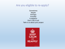#### Are you eligible to re-apply?

Sometimes Maybe Perhaps Possibly It happens Don't rule it out! Talk to us about your project